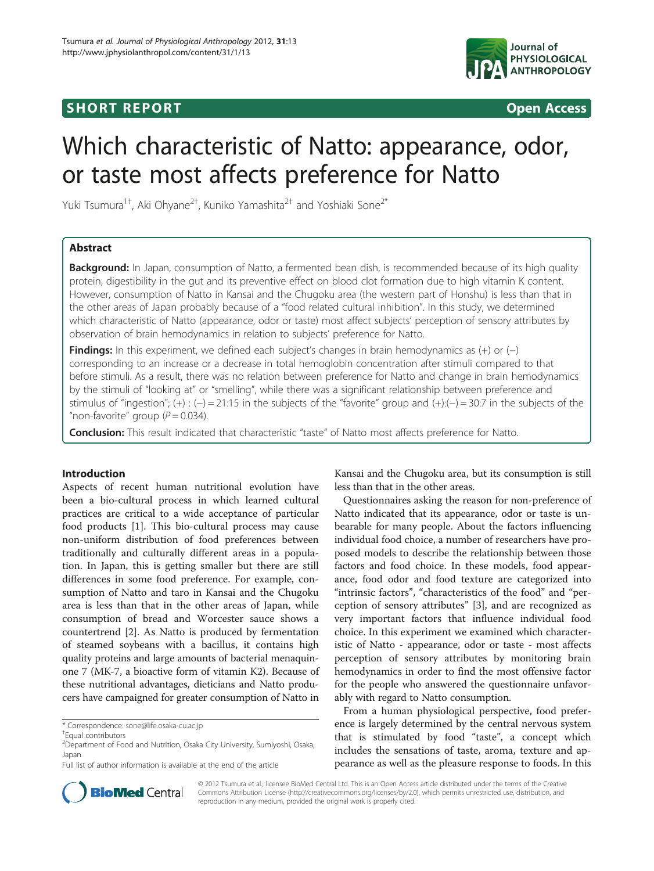# **SHORT REPORT SHORT CONSIDERING ACCESS**



# Which characteristic of Natto: appearance, odor, or taste most affects preference for Natto

Yuki Tsumura<sup>1†</sup>, Aki Ohyane<sup>2†</sup>, Kuniko Yamashita<sup>2†</sup> and Yoshiaki Sone<sup>2\*</sup>

# Abstract

Background: In Japan, consumption of Natto, a fermented bean dish, is recommended because of its high quality protein, digestibility in the gut and its preventive effect on blood clot formation due to high vitamin K content. However, consumption of Natto in Kansai and the Chugoku area (the western part of Honshu) is less than that in the other areas of Japan probably because of a "food related cultural inhibition". In this study, we determined which characteristic of Natto (appearance, odor or taste) most affect subjects' perception of sensory attributes by observation of brain hemodynamics in relation to subjects' preference for Natto.

Findings: In this experiment, we defined each subject's changes in brain hemodynamics as  $(+)$  or  $(-)$ corresponding to an increase or a decrease in total hemoglobin concentration after stimuli compared to that before stimuli. As a result, there was no relation between preference for Natto and change in brain hemodynamics by the stimuli of "looking at" or "smelling", while there was a significant relationship between preference and stimulus of "ingestion"; (+) : (−) = 21:15 in the subjects of the "favorite" group and (+):(−) = 30:7 in the subjects of the "non-favorite" group ( $P = 0.034$ ).

**Conclusion:** This result indicated that characteristic "taste" of Natto most affects preference for Natto.

## Introduction

Aspects of recent human nutritional evolution have been a bio-cultural process in which learned cultural practices are critical to a wide acceptance of particular food products [[1\]](#page-3-0). This bio-cultural process may cause non-uniform distribution of food preferences between traditionally and culturally different areas in a population. In Japan, this is getting smaller but there are still differences in some food preference. For example, consumption of Natto and taro in Kansai and the Chugoku area is less than that in the other areas of Japan, while consumption of bread and Worcester sauce shows a countertrend [[2\]](#page-3-0). As Natto is produced by fermentation of steamed soybeans with a bacillus, it contains high quality proteins and large amounts of bacterial menaquinone 7 (MK-7, a bioactive form of vitamin K2). Because of these nutritional advantages, dieticians and Natto producers have campaigned for greater consumption of Natto in

\* Correspondence: [sone@life.osaka-cu.ac.jp](mailto:sone@life.osaka-u.ac.jp) †

Kansai and the Chugoku area, but its consumption is still less than that in the other areas.

Questionnaires asking the reason for non-preference of Natto indicated that its appearance, odor or taste is unbearable for many people. About the factors influencing individual food choice, a number of researchers have proposed models to describe the relationship between those factors and food choice. In these models, food appearance, food odor and food texture are categorized into "intrinsic factors", "characteristics of the food" and "perception of sensory attributes" [[3\]](#page-3-0), and are recognized as very important factors that influence individual food choice. In this experiment we examined which characteristic of Natto - appearance, odor or taste - most affects perception of sensory attributes by monitoring brain hemodynamics in order to find the most offensive factor for the people who answered the questionnaire unfavorably with regard to Natto consumption.

From a human physiological perspective, food preference is largely determined by the central nervous system that is stimulated by food "taste", a concept which includes the sensations of taste, aroma, texture and appearance as well as the pleasure response to foods. In this



© 2012 Tsumura et al.; licensee BioMed Central Ltd. This is an Open Access article distributed under the terms of the Creative Commons Attribution License [\(http://creativecommons.org/licenses/by/2.0\)](http://creativecommons.org/licenses/by/2.0), which permits unrestricted use, distribution, and reproduction in any medium, provided the original work is properly cited.

Equal contributors

<sup>2</sup> Department of Food and Nutrition, Osaka City University, Sumiyoshi, Osaka, Japan

Full list of author information is available at the end of the article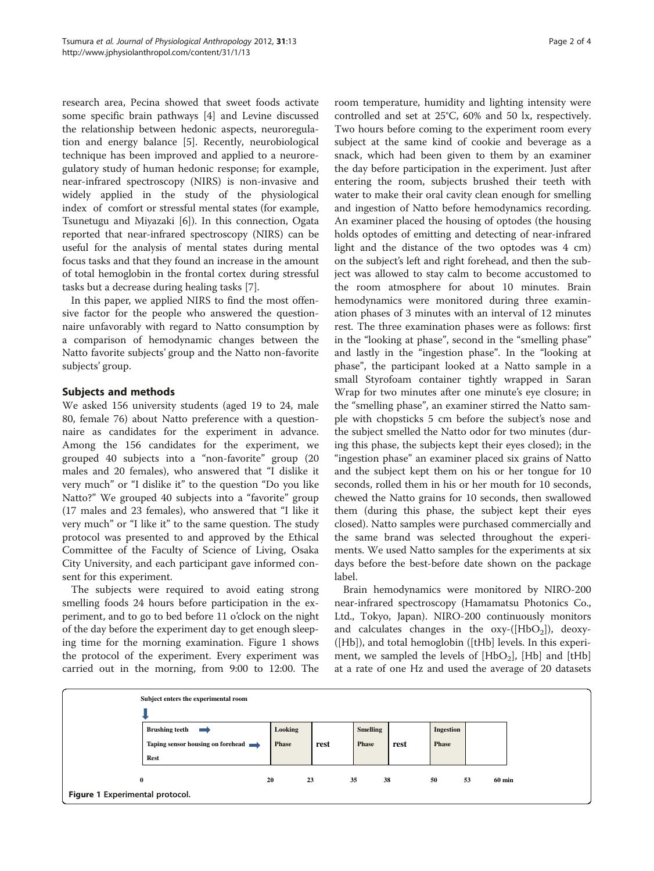research area, Pecina showed that sweet foods activate some specific brain pathways [\[4](#page-3-0)] and Levine discussed the relationship between hedonic aspects, neuroregulation and energy balance [[5\]](#page-3-0). Recently, neurobiological technique has been improved and applied to a neuroregulatory study of human hedonic response; for example, near-infrared spectroscopy (NIRS) is non-invasive and widely applied in the study of the physiological index of comfort or stressful mental states (for example, Tsunetugu and Miyazaki [\[6](#page-3-0)]). In this connection, Ogata reported that near-infrared spectroscopy (NIRS) can be useful for the analysis of mental states during mental focus tasks and that they found an increase in the amount of total hemoglobin in the frontal cortex during stressful tasks but a decrease during healing tasks [\[7](#page-3-0)].

In this paper, we applied NIRS to find the most offensive factor for the people who answered the questionnaire unfavorably with regard to Natto consumption by a comparison of hemodynamic changes between the Natto favorite subjects' group and the Natto non-favorite subjects' group.

# Subjects and methods

We asked 156 university students (aged 19 to 24, male 80, female 76) about Natto preference with a questionnaire as candidates for the experiment in advance. Among the 156 candidates for the experiment, we grouped 40 subjects into a "non-favorite" group (20 males and 20 females), who answered that "I dislike it very much" or "I dislike it" to the question "Do you like Natto?" We grouped 40 subjects into a "favorite" group (17 males and 23 females), who answered that "I like it very much" or "I like it" to the same question. The study protocol was presented to and approved by the Ethical Committee of the Faculty of Science of Living, Osaka City University, and each participant gave informed consent for this experiment.

The subjects were required to avoid eating strong smelling foods 24 hours before participation in the experiment, and to go to bed before 11 o'clock on the night of the day before the experiment day to get enough sleeping time for the morning examination. Figure 1 shows the protocol of the experiment. Every experiment was carried out in the morning, from 9:00 to 12:00. The

room temperature, humidity and lighting intensity were controlled and set at 25°C, 60% and 50 lx, respectively. Two hours before coming to the experiment room every subject at the same kind of cookie and beverage as a snack, which had been given to them by an examiner the day before participation in the experiment. Just after entering the room, subjects brushed their teeth with water to make their oral cavity clean enough for smelling and ingestion of Natto before hemodynamics recording. An examiner placed the housing of optodes (the housing holds optodes of emitting and detecting of near-infrared light and the distance of the two optodes was 4 cm) on the subject's left and right forehead, and then the subject was allowed to stay calm to become accustomed to the room atmosphere for about 10 minutes. Brain hemodynamics were monitored during three examination phases of 3 minutes with an interval of 12 minutes rest. The three examination phases were as follows: first in the "looking at phase", second in the "smelling phase" and lastly in the "ingestion phase". In the "looking at phase", the participant looked at a Natto sample in a small Styrofoam container tightly wrapped in Saran Wrap for two minutes after one minute's eye closure; in the "smelling phase", an examiner stirred the Natto sample with chopsticks 5 cm before the subject's nose and the subject smelled the Natto odor for two minutes (during this phase, the subjects kept their eyes closed); in the "ingestion phase" an examiner placed six grains of Natto and the subject kept them on his or her tongue for 10 seconds, rolled them in his or her mouth for 10 seconds, chewed the Natto grains for 10 seconds, then swallowed them (during this phase, the subject kept their eyes closed). Natto samples were purchased commercially and the same brand was selected throughout the experiments. We used Natto samples for the experiments at six days before the best-before date shown on the package label.

Brain hemodynamics were monitored by NIRO-200 near-infrared spectroscopy (Hamamatsu Photonics Co., Ltd., Tokyo, Japan). NIRO-200 continuously monitors and calculates changes in the  $oxy-([HbO<sub>2</sub>])$ , deoxy-([Hb]), and total hemoglobin ([tHb] levels. In this experiment, we sampled the levels of  $[HbO_2]$ ,  $[Hb]$  and  $[tHb]$ at a rate of one Hz and used the average of 20 datasets

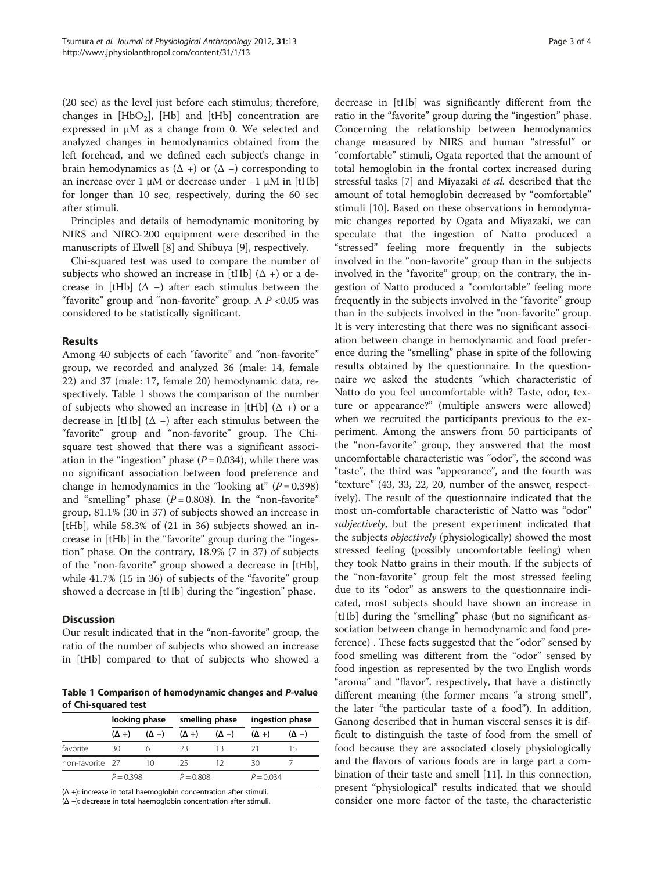(20 sec) as the level just before each stimulus; therefore, changes in  $[HbO<sub>2</sub>]$ ,  $[Hb]$  and  $[Hb]$  concentration are expressed in μM as a change from 0. We selected and analyzed changes in hemodynamics obtained from the left forehead, and we defined each subject's change in brain hemodynamics as  $(\Delta +)$  or  $(\Delta -)$  corresponding to an increase over 1 μM or decrease under  $-1$  μM in [tHb] for longer than 10 sec, respectively, during the 60 sec after stimuli.

Principles and details of hemodynamic monitoring by NIRS and NIRO-200 equipment were described in the manuscripts of Elwell [\[8\]](#page-3-0) and Shibuya [\[9](#page-3-0)], respectively.

Chi-squared test was used to compare the number of subjects who showed an increase in [tHb]  $(\Delta +)$  or a decrease in [tHb]  $(Δ - )$  after each stimulus between the "favorite" group and "non-favorite" group. A  $P < 0.05$  was considered to be statistically significant.

### Results

Among 40 subjects of each "favorite" and "non-favorite" group, we recorded and analyzed 36 (male: 14, female 22) and 37 (male: 17, female 20) hemodynamic data, respectively. Table 1 shows the comparison of the number of subjects who showed an increase in [tHb]  $(\Delta +)$  or a decrease in [tHb]  $(\Delta -)$  after each stimulus between the "favorite" group and "non-favorite" group. The Chisquare test showed that there was a significant association in the "ingestion" phase  $(P = 0.034)$ , while there was no significant association between food preference and change in hemodynamics in the "looking at"  $(P = 0.398)$ and "smelling" phase  $(P = 0.808)$ . In the "non-favorite" group, 81.1% (30 in 37) of subjects showed an increase in [tHb], while 58.3% of (21 in 36) subjects showed an increase in [tHb] in the "favorite" group during the "ingestion" phase. On the contrary, 18.9% (7 in 37) of subjects of the "non-favorite" group showed a decrease in [tHb], while 41.7% (15 in 36) of subjects of the "favorite" group showed a decrease in [tHb] during the "ingestion" phase.

#### **Discussion**

Our result indicated that in the "non-favorite" group, the ratio of the number of subjects who showed an increase in [tHb] compared to that of subjects who showed a

Table 1 Comparison of hemodynamic changes and P-value of Chi-squared test

|                 | looking phase |                           | smelling phase |              | ingestion phase |              |
|-----------------|---------------|---------------------------|----------------|--------------|-----------------|--------------|
|                 |               | $(\Delta +)$ $(\Delta -)$ | $(\Delta +)$   | $(\Delta -)$ | $(\Delta +)$    | $(\Delta -)$ |
| favorite        | 30            |                           | -23            | -13          | -21             | 15           |
| non-favorite 27 |               | 10                        | -25            | -12          | RΩ              |              |
|                 | $P = 0.398$   |                           | $P = 0.808$    |              | $P = 0.034$     |              |

(Δ +): increase in total haemoglobin concentration after stimuli.

(Δ −): decrease in total haemoglobin concentration after stimuli.

decrease in [tHb] was significantly different from the ratio in the "favorite" group during the "ingestion" phase. Concerning the relationship between hemodynamics change measured by NIRS and human "stressful" or "comfortable" stimuli, Ogata reported that the amount of total hemoglobin in the frontal cortex increased during stressful tasks [[7](#page-3-0)] and Miyazaki et al. described that the amount of total hemoglobin decreased by "comfortable" stimuli [\[10](#page-3-0)]. Based on these observations in hemodymamic changes reported by Ogata and Miyazaki, we can speculate that the ingestion of Natto produced a "stressed" feeling more frequently in the subjects involved in the "non-favorite" group than in the subjects involved in the "favorite" group; on the contrary, the ingestion of Natto produced a "comfortable" feeling more frequently in the subjects involved in the "favorite" group than in the subjects involved in the "non-favorite" group. It is very interesting that there was no significant association between change in hemodynamic and food preference during the "smelling" phase in spite of the following results obtained by the questionnaire. In the questionnaire we asked the students "which characteristic of Natto do you feel uncomfortable with? Taste, odor, texture or appearance?" (multiple answers were allowed) when we recruited the participants previous to the experiment. Among the answers from 50 participants of the "non-favorite" group, they answered that the most uncomfortable characteristic was "odor", the second was "taste", the third was "appearance", and the fourth was "texture" (43, 33, 22, 20, number of the answer, respectively). The result of the questionnaire indicated that the most un-comfortable characteristic of Natto was "odor" subjectively, but the present experiment indicated that the subjects *objectively* (physiologically) showed the most stressed feeling (possibly uncomfortable feeling) when they took Natto grains in their mouth. If the subjects of the "non-favorite" group felt the most stressed feeling due to its "odor" as answers to the questionnaire indicated, most subjects should have shown an increase in [tHb] during the "smelling" phase (but no significant association between change in hemodynamic and food preference) . These facts suggested that the "odor" sensed by food smelling was different from the "odor" sensed by food ingestion as represented by the two English words "aroma" and "flavor", respectively, that have a distinctly different meaning (the former means "a strong smell", the later "the particular taste of a food"). In addition, Ganong described that in human visceral senses it is difficult to distinguish the taste of food from the smell of food because they are associated closely physiologically and the flavors of various foods are in large part a combination of their taste and smell [[11\]](#page-3-0). In this connection, present "physiological" results indicated that we should consider one more factor of the taste, the characteristic